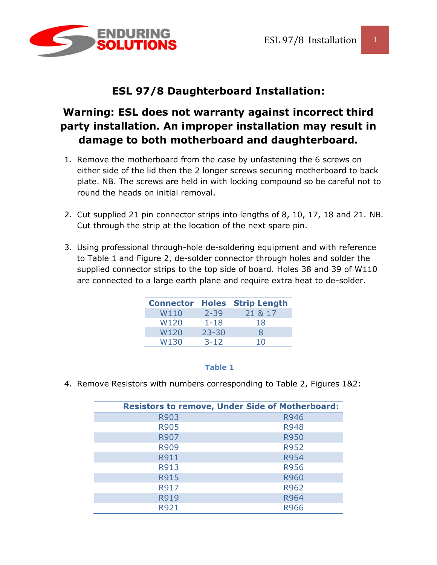

## **ESL 97/8 Daughterboard Installation:**

# **Warning: ESL does not warranty against incorrect third party installation. An improper installation may result in damage to both motherboard and daughterboard.**

- 1. Remove the motherboard from the case by unfastening the 6 screws on either side of the lid then the 2 longer screws securing motherboard to back plate. NB. The screws are held in with locking compound so be careful not to round the heads on initial removal.
- 2. Cut supplied 21 pin connector strips into lengths of 8, 10, 17, 18 and 21. NB. Cut through the strip at the location of the next spare pin.
- 3. Using professional through-hole de-soldering equipment and with reference to Table 1 and Figure 2, de-solder connector through holes and solder the supplied connector strips to the top side of board. Holes 38 and 39 of W110 are connected to a large earth plane and require extra heat to de-solder.

|      |           | <b>Connector Holes Strip Length</b> |
|------|-----------|-------------------------------------|
| W110 | $2 - 39$  | 21 & 17                             |
| W120 | $1 - 18$  | 18                                  |
| W120 | $23 - 30$ | 8                                   |
| W130 | $3 - 12$  | 1 O                                 |

#### **Table 1**

4. Remove Resistors with numbers corresponding to Table 2, Figures 1&2:

|             | <b>Resistors to remove, Under Side of Motherboard:</b> |
|-------------|--------------------------------------------------------|
| R903        | R946                                                   |
| <b>R905</b> | <b>R948</b>                                            |
| R907        | <b>R950</b>                                            |
| <b>R909</b> | <b>R952</b>                                            |
| R911        | <b>R954</b>                                            |
| R913        | <b>R956</b>                                            |
| <b>R915</b> | <b>R960</b>                                            |
| R917        | R962                                                   |
| <b>R919</b> | R964                                                   |
| R921        | R966                                                   |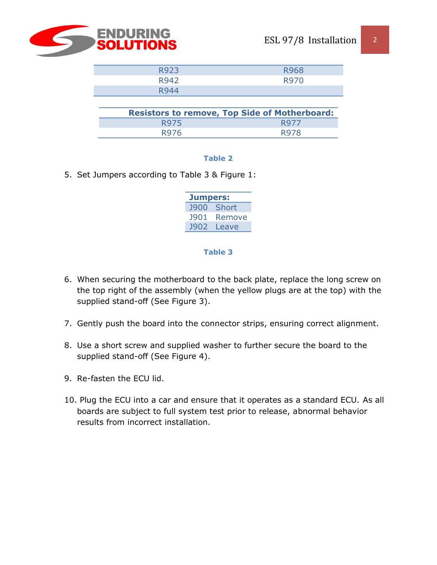

| R923 | <b>R968</b> |
|------|-------------|
| R942 | <b>R970</b> |
| R944 |             |

|      | <b>Resistors to remove, Top Side of Motherboard:</b> |
|------|------------------------------------------------------|
| R975 | R977                                                 |
| R976 | R978                                                 |

### **Table 2**

5. Set Jumpers according to Table 3 & Figure 1:

| <b>Jumpers:</b> |        |  |
|-----------------|--------|--|
| <b>J900</b>     | Short  |  |
| <b>J901</b>     | Remove |  |
| 1902            | Leave  |  |

#### **Table 3**

- 6. When securing the motherboard to the back plate, replace the long screw on the top right of the assembly (when the yellow plugs are at the top) with the supplied stand-off (See Figure 3).
- 7. Gently push the board into the connector strips, ensuring correct alignment.
- 8. Use a short screw and supplied washer to further secure the board to the supplied stand-off (See Figure 4).
- 9. Re-fasten the ECU lid.
- 10. Plug the ECU into a car and ensure that it operates as a standard ECU. As all boards are subject to full system test prior to release, abnormal behavior results from incorrect installation.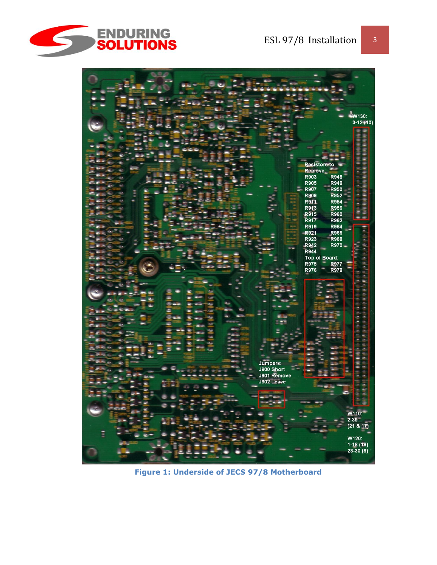



**Figure 1: Underside of JECS 97/8 Motherboard**